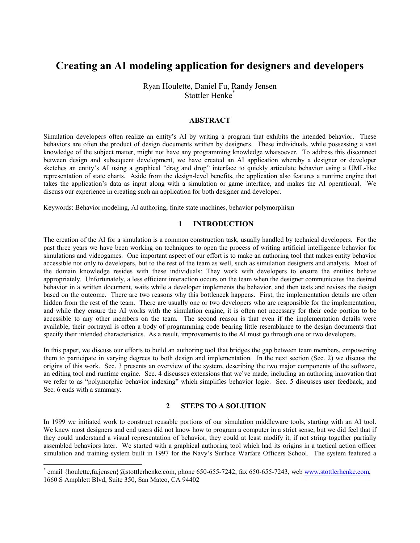# **Creating an AI modeling application for designers and developers**

Ryan Houlette, Daniel Fu, Randy Jensen Stottler Henke<sup>\*</sup>

# **ABSTRACT**

Simulation developers often realize an entity's AI by writing a program that exhibits the intended behavior. These behaviors are often the product of design documents written by designers. These individuals, while possessing a vast knowledge of the subject matter, might not have any programming knowledge whatsoever. To address this disconnect between design and subsequent development, we have created an AI application whereby a designer or developer sketches an entity's AI using a graphical "drag and drop" interface to quickly articulate behavior using a UML-like representation of state charts. Aside from the design-level benefits, the application also features a runtime engine that takes the application's data as input along with a simulation or game interface, and makes the AI operational. We discuss our experience in creating such an application for both designer and developer.

Keywords: Behavior modeling, AI authoring, finite state machines, behavior polymorphism

#### **1 INTRODUCTION**

The creation of the AI for a simulation is a common construction task, usually handled by technical developers. For the past three years we have been working on techniques to open the process of writing artificial intelligence behavior for simulations and videogames. One important aspect of our effort is to make an authoring tool that makes entity behavior accessible not only to developers, but to the rest of the team as well, such as simulation designers and analysts. Most of the domain knowledge resides with these individuals: They work with developers to ensure the entities behave appropriately. Unfortunately, a less efficient interaction occurs on the team when the designer communicates the desired behavior in a written document, waits while a developer implements the behavior, and then tests and revises the design based on the outcome. There are two reasons why this bottleneck happens. First, the implementation details are often hidden from the rest of the team. There are usually one or two developers who are responsible for the implementation, and while they ensure the AI works with the simulation engine, it is often not necessary for their code portion to be accessible to any other members on the team. The second reason is that even if the implementation details were available, their portrayal is often a body of programming code bearing little resemblance to the design documents that specify their intended characteristics. As a result, improvements to the AI must go through one or two developers.

In this paper, we discuss our efforts to build an authoring tool that bridges the gap between team members, empowering them to participate in varying degrees to both design and implementation. In the next section (Sec. 2) we discuss the origins of this work. Sec. 3 presents an overview of the system, describing the two major components of the software, an editing tool and runtime engine. Sec. 4 discusses extensions that we've made, including an authoring innovation that we refer to as "polymorphic behavior indexing" which simplifies behavior logic. Sec. 5 discusses user feedback, and Sec. 6 ends with a summary.

#### **2 STEPS TO A SOLUTION**

In 1999 we initiated work to construct reusable portions of our simulation middleware tools, starting with an AI tool. We knew most designers and end users did not know how to program a computer in a strict sense, but we did feel that if they could understand a visual representation of behavior, they could at least modify it, if not string together partially assembled behaviors later. We started with a graphical authoring tool which had its origins in a tactical action officer simulation and training system built in 1997 for the Navy's Surface Warfare Officers School. The system featured a

l

<sup>\*</sup> email {houlette,fu,jensen}@stottlerhenke.com, phone 650-655-7242, fax 650-655-7243, web www.stottlerhenke.com, 1660 S Amphlett Blvd, Suite 350, San Mateo, CA 94402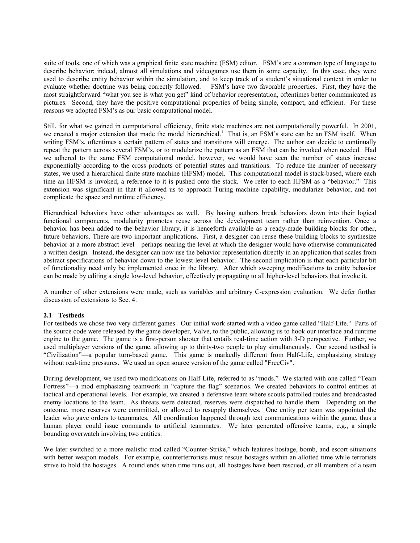suite of tools, one of which was a graphical finite state machine (FSM) editor. FSM's are a common type of language to describe behavior; indeed, almost all simulations and videogames use them in some capacity. In this case, they were used to describe entity behavior within the simulation, and to keep track of a student's situational context in order to evaluate whether doctrine was being correctly followed. FSM's have two favorable properties. First, they have the most straightforward "what you see is what you get" kind of behavior representation, oftentimes better communicated as pictures. Second, they have the positive computational properties of being simple, compact, and efficient. For these reasons we adopted FSM's as our basic computational model.

Still, for what we gained in computational efficiency, finite state machines are not computationally powerful. In 2001, we created a major extension that made the model hierarchical.<sup>1</sup> That is, an FSM's state can be an FSM itself. When writing FSM's, oftentimes a certain pattern of states and transitions will emerge. The author can decide to continually repeat the pattern across several FSM's, or to modularize the pattern as an FSM that can be invoked when needed. Had we adhered to the same FSM computational model, however, we would have seen the number of states increase exponentially according to the cross products of potential states and transitions. To reduce the number of necessary states, we used a hierarchical finite state machine (HFSM) model. This computational model is stack-based, where each time an HFSM is invoked, a reference to it is pushed onto the stack. We refer to each HFSM as a "behavior." This extension was significant in that it allowed us to approach Turing machine capability, modularize behavior, and not complicate the space and runtime efficiency.

Hierarchical behaviors have other advantages as well. By having authors break behaviors down into their logical functional components, modularity promotes reuse across the development team rather than reinvention. Once a behavior has been added to the behavior library, it is henceforth available as a ready-made building blocks for other, future behaviors. There are two important implications. First, a designer can reuse these building blocks to synthesize behavior at a more abstract level—perhaps nearing the level at which the designer would have otherwise communicated a written design. Instead, the designer can now use the behavior representation directly in an application that scales from abstract specifications of behavior down to the lowest-level behavior. The second implication is that each particular bit of functionality need only be implemented once in the library. After which sweeping modifications to entity behavior can be made by editing a single low-level behavior, effectively propagating to all higher-level behaviors that invoke it.

A number of other extensions were made, such as variables and arbitrary C-expression evaluation. We defer further discussion of extensions to Sec. 4.

#### **2.1 Testbeds**

For testbeds we chose two very different games. Our initial work started with a video game called "Half-Life." Parts of the source code were released by the game developer, Valve, to the public, allowing us to hook our interface and runtime engine to the game. The game is a first-person shooter that entails real-time action with 3-D perspective. Further, we used multiplayer versions of the game, allowing up to thirty-two people to play simultaneously. Our second testbed is "Civilization"—a popular turn-based game. This game is markedly different from Half-Life, emphasizing strategy without real-time pressures. We used an open source version of the game called "FreeCiv".

During development, we used two modifications on Half-Life, referred to as "mods." We started with one called "Team Fortress"—a mod emphasizing teamwork in "capture the flag" scenarios. We created behaviors to control entities at tactical and operational levels. For example, we created a defensive team where scouts patrolled routes and broadcasted enemy locations to the team. As threats were detected, reserves were dispatched to handle them. Depending on the outcome, more reserves were committed, or allowed to resupply themselves. One entity per team was appointed the leader who gave orders to teammates. All coordination happened through text communications within the game, thus a human player could issue commands to artificial teammates. We later generated offensive teams; e.g., a simple bounding overwatch involving two entities.

We later switched to a more realistic mod called "Counter-Strike," which features hostage, bomb, and escort situations with better weapon models. For example, counterterrorists must rescue hostages within an allotted time while terrorists strive to hold the hostages. A round ends when time runs out, all hostages have been rescued, or all members of a team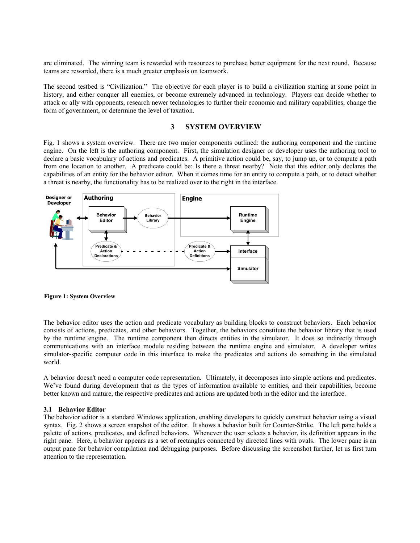are eliminated. The winning team is rewarded with resources to purchase better equipment for the next round. Because teams are rewarded, there is a much greater emphasis on teamwork.

The second testbed is "Civilization." The objective for each player is to build a civilization starting at some point in history, and either conquer all enemies, or become extremely advanced in technology. Players can decide whether to attack or ally with opponents, research newer technologies to further their economic and military capabilities, change the form of government, or determine the level of taxation.

#### **3 SYSTEM OVERVIEW**

Fig. 1 shows a system overview. There are two major components outlined: the authoring component and the runtime engine. On the left is the authoring component. First, the simulation designer or developer uses the authoring tool to declare a basic vocabulary of actions and predicates. A primitive action could be, say, to jump up, or to compute a path from one location to another. A predicate could be: Is there a threat nearby? Note that this editor only declares the capabilities of an entity for the behavior editor. When it comes time for an entity to compute a path, or to detect whether a threat is nearby, the functionality has to be realized over to the right in the interface.



#### **Figure 1: System Overview**

The behavior editor uses the action and predicate vocabulary as building blocks to construct behaviors. Each behavior consists of actions, predicates, and other behaviors. Together, the behaviors constitute the behavior library that is used by the runtime engine. The runtime component then directs entities in the simulator. It does so indirectly through communications with an interface module residing between the runtime engine and simulator. A developer writes simulator-specific computer code in this interface to make the predicates and actions do something in the simulated world.

A behavior doesn't need a computer code representation. Ultimately, it decomposes into simple actions and predicates. We've found during development that as the types of information available to entities, and their capabilities, become better known and mature, the respective predicates and actions are updated both in the editor and the interface.

#### **3.1 Behavior Editor**

The behavior editor is a standard Windows application, enabling developers to quickly construct behavior using a visual syntax. Fig. 2 shows a screen snapshot of the editor. It shows a behavior built for Counter-Strike. The left pane holds a palette of actions, predicates, and defined behaviors. Whenever the user selects a behavior, its definition appears in the right pane. Here, a behavior appears as a set of rectangles connected by directed lines with ovals. The lower pane is an output pane for behavior compilation and debugging purposes. Before discussing the screenshot further, let us first turn attention to the representation.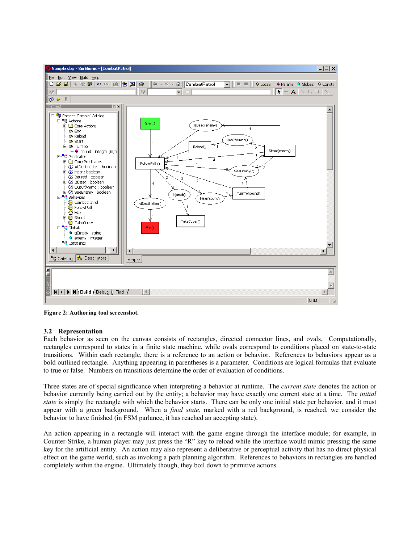

**Figure 2: Authoring tool screenshot.** 

## **3.2 Representation**

Each behavior as seen on the canvas consists of rectangles, directed connector lines, and ovals. Computationally, rectangles correspond to states in a finite state machine, while ovals correspond to conditions placed on state-to-state transitions. Within each rectangle, there is a reference to an action or behavior. References to behaviors appear as a bold outlined rectangle. Anything appearing in parentheses is a parameter. Conditions are logical formulas that evaluate to true or false. Numbers on transitions determine the order of evaluation of conditions.

Three states are of special significance when interpreting a behavior at runtime. The *current state* denotes the action or behavior currently being carried out by the entity; a behavior may have exactly one current state at a time. The *initial state* is simply the rectangle with which the behavior starts. There can be only one initial state per behavior, and it must appear with a green background. When a *final state*, marked with a red background, is reached, we consider the behavior to have finished (in FSM parlance, it has reached an accepting state).

An action appearing in a rectangle will interact with the game engine through the interface module; for example, in Counter-Strike, a human player may just press the "R" key to reload while the interface would mimic pressing the same key for the artificial entity. An action may also represent a deliberative or perceptual activity that has no direct physical effect on the game world, such as invoking a path planning algorithm. References to behaviors in rectangles are handled completely within the engine. Ultimately though, they boil down to primitive actions.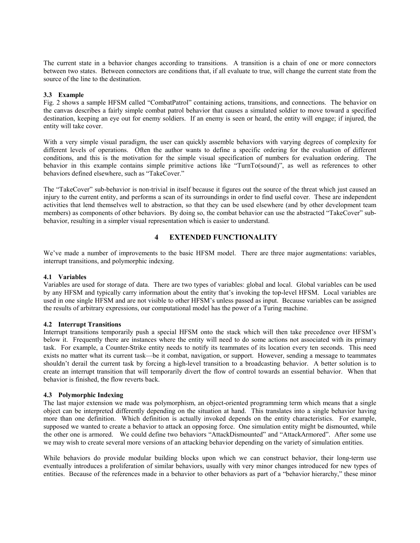The current state in a behavior changes according to transitions. A transition is a chain of one or more connectors between two states. Between connectors are conditions that, if all evaluate to true, will change the current state from the source of the line to the destination.

#### **3.3 Example**

Fig. 2 shows a sample HFSM called "CombatPatrol" containing actions, transitions, and connections. The behavior on the canvas describes a fairly simple combat patrol behavior that causes a simulated soldier to move toward a specified destination, keeping an eye out for enemy soldiers. If an enemy is seen or heard, the entity will engage; if injured, the entity will take cover.

With a very simple visual paradigm, the user can quickly assemble behaviors with varying degrees of complexity for different levels of operations. Often the author wants to define a specific ordering for the evaluation of different conditions, and this is the motivation for the simple visual specification of numbers for evaluation ordering. The behavior in this example contains simple primitive actions like "TurnTo(sound)", as well as references to other behaviors defined elsewhere, such as "TakeCover."

The "TakeCover" sub-behavior is non-trivial in itself because it figures out the source of the threat which just caused an injury to the current entity, and performs a scan of its surroundings in order to find useful cover. These are independent activities that lend themselves well to abstraction, so that they can be used elsewhere (and by other development team members) as components of other behaviors. By doing so, the combat behavior can use the abstracted "TakeCover" subbehavior, resulting in a simpler visual representation which is easier to understand.

# **4 EXTENDED FUNCTIONALITY**

We've made a number of improvements to the basic HFSM model. There are three major augmentations: variables, interrupt transitions, and polymorphic indexing.

#### **4.1 Variables**

Variables are used for storage of data. There are two types of variables: global and local. Global variables can be used by any HFSM and typically carry information about the entity that's invoking the top-level HFSM. Local variables are used in one single HFSM and are not visible to other HFSM's unless passed as input. Because variables can be assigned the results of arbitrary expressions, our computational model has the power of a Turing machine.

#### **4.2 Interrupt Transitions**

Interrupt transitions temporarily push a special HFSM onto the stack which will then take precedence over HFSM's below it. Frequently there are instances where the entity will need to do some actions not associated with its primary task. For example, a Counter-Strike entity needs to notify its teammates of its location every ten seconds. This need exists no matter what its current task—be it combat, navigation, or support. However, sending a message to teammates shouldn't derail the current task by forcing a high-level transition to a broadcasting behavior. A better solution is to create an interrupt transition that will temporarily divert the flow of control towards an essential behavior. When that behavior is finished, the flow reverts back.

#### **4.3 Polymorphic Indexing**

The last major extension we made was polymorphism, an object-oriented programming term which means that a single object can be interpreted differently depending on the situation at hand. This translates into a single behavior having more than one definition. Which definition is actually invoked depends on the entity characteristics. For example, supposed we wanted to create a behavior to attack an opposing force. One simulation entity might be dismounted, while the other one is armored. We could define two behaviors "AttackDismounted" and "AttackArmored". After some use we may wish to create several more versions of an attacking behavior depending on the variety of simulation entities.

While behaviors do provide modular building blocks upon which we can construct behavior, their long-term use eventually introduces a proliferation of similar behaviors, usually with very minor changes introduced for new types of entities. Because of the references made in a behavior to other behaviors as part of a "behavior hierarchy," these minor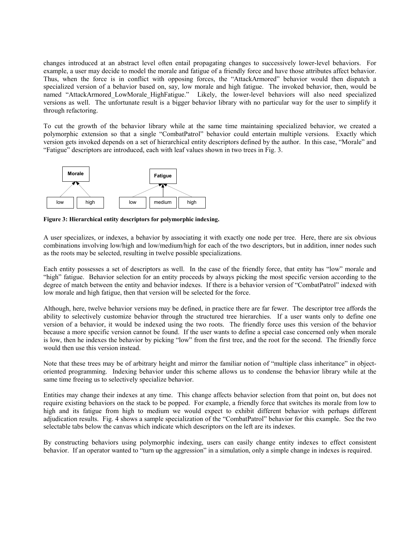changes introduced at an abstract level often entail propagating changes to successively lower-level behaviors. For example, a user may decide to model the morale and fatigue of a friendly force and have those attributes affect behavior. Thus, when the force is in conflict with opposing forces, the "AttackArmored" behavior would then dispatch a specialized version of a behavior based on, say, low morale and high fatigue. The invoked behavior, then, would be named "AttackArmored LowMorale HighFatigue." Likely, the lower-level behaviors will also need specialized versions as well. The unfortunate result is a bigger behavior library with no particular way for the user to simplify it through refactoring.

To cut the growth of the behavior library while at the same time maintaining specialized behavior, we created a polymorphic extension so that a single "CombatPatrol" behavior could entertain multiple versions. Exactly which version gets invoked depends on a set of hierarchical entity descriptors defined by the author. In this case, "Morale" and "Fatigue" descriptors are introduced, each with leaf values shown in two trees in Fig. 3.



**Figure 3: Hierarchical entity descriptors for polymorphic indexing.** 

A user specializes, or indexes, a behavior by associating it with exactly one node per tree. Here, there are six obvious combinations involving low/high and low/medium/high for each of the two descriptors, but in addition, inner nodes such as the roots may be selected, resulting in twelve possible specializations.

Each entity possesses a set of descriptors as well. In the case of the friendly force, that entity has "low" morale and "high" fatigue. Behavior selection for an entity proceeds by always picking the most specific version according to the degree of match between the entity and behavior indexes. If there is a behavior version of "CombatPatrol" indexed with low morale and high fatigue, then that version will be selected for the force.

Although, here, twelve behavior versions may be defined, in practice there are far fewer. The descriptor tree affords the ability to selectively customize behavior through the structured tree hierarchies. If a user wants only to define one version of a behavior, it would be indexed using the two roots. The friendly force uses this version of the behavior because a more specific version cannot be found. If the user wants to define a special case concerned only when morale is low, then he indexes the behavior by picking "low" from the first tree, and the root for the second. The friendly force would then use this version instead.

Note that these trees may be of arbitrary height and mirror the familiar notion of "multiple class inheritance" in objectoriented programming. Indexing behavior under this scheme allows us to condense the behavior library while at the same time freeing us to selectively specialize behavior.

Entities may change their indexes at any time. This change affects behavior selection from that point on, but does not require existing behaviors on the stack to be popped. For example, a friendly force that switches its morale from low to high and its fatigue from high to medium we would expect to exhibit different behavior with perhaps different adjudication results. Fig. 4 shows a sample specialization of the "CombatPatrol" behavior for this example. See the two selectable tabs below the canvas which indicate which descriptors on the left are its indexes.

By constructing behaviors using polymorphic indexing, users can easily change entity indexes to effect consistent behavior. If an operator wanted to "turn up the aggression" in a simulation, only a simple change in indexes is required.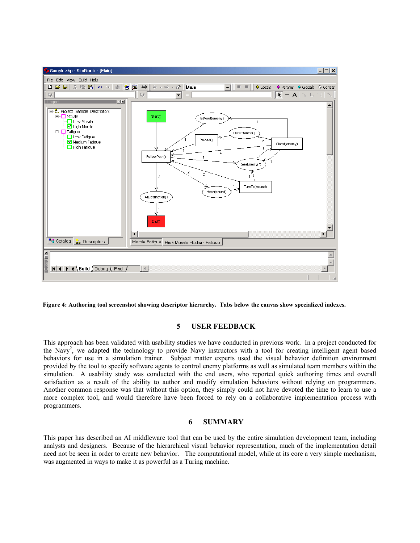

**Figure 4: Authoring tool screenshot showing descriptor hierarchy. Tabs below the canvas show specialized indexes.** 

#### **5 USER FEEDBACK**

This approach has been validated with usability studies we have conducted in previous work. In a project conducted for the Navy<sup>2</sup>, we adapted the technology to provide Navy instructors with a tool for creating intelligent agent based behaviors for use in a simulation trainer. Subject matter experts used the visual behavior definition environment provided by the tool to specify software agents to control enemy platforms as well as simulated team members within the simulation. A usability study was conducted with the end users, who reported quick authoring times and overall satisfaction as a result of the ability to author and modify simulation behaviors without relying on programmers. Another common response was that without this option, they simply could not have devoted the time to learn to use a more complex tool, and would therefore have been forced to rely on a collaborative implementation process with programmers.

#### **6 SUMMARY**

This paper has described an AI middleware tool that can be used by the entire simulation development team, including analysts and designers. Because of the hierarchical visual behavior representation, much of the implementation detail need not be seen in order to create new behavior. The computational model, while at its core a very simple mechanism, was augmented in ways to make it as powerful as a Turing machine.